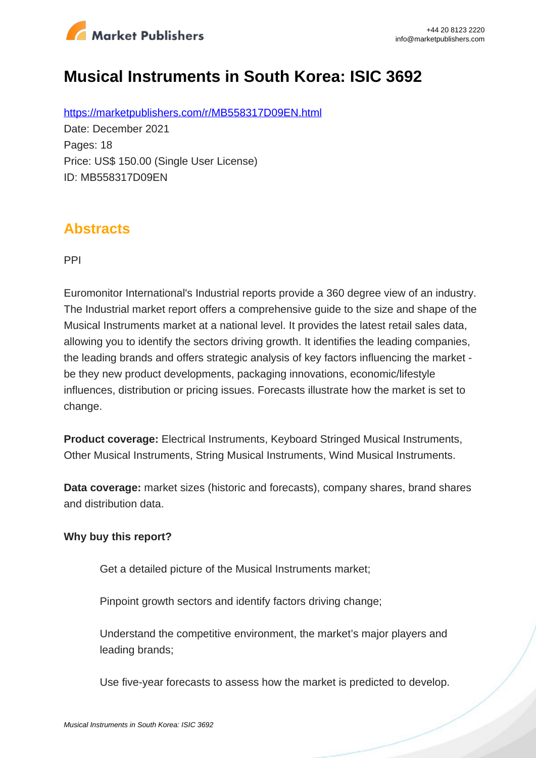

# **Musical Instruments in South Korea: ISIC 3692**

https://marketpublishers.com/r/MB558317D09EN.html Date: December 2021 Pages: 18 Price: US\$ 150.00 (Single User License) ID: MB558317D09EN

### **Abstracts**

PPI

Euromonitor International's Industrial reports provide a 360 degree view of an industry. The Industrial market report offers a comprehensive guide to the size and shape of the Musical Instruments market at a national level. It provides the latest retail sales data, allowing you to identify the sectors driving growth. It identifies the leading companies, the leading brands and offers strategic analysis of key factors influencing the market be they new product developments, packaging innovations, economic/lifestyle influences, distribution or pricing issues. Forecasts illustrate how the market is set to change.

**Product coverage:** Electrical Instruments, Keyboard Stringed Musical Instruments, Other Musical Instruments, String Musical Instruments, Wind Musical Instruments.

**Data coverage:** market sizes (historic and forecasts), company shares, brand shares and distribution data.

#### **Why buy this report?**

Get a detailed picture of the Musical Instruments market;

Pinpoint growth sectors and identify factors driving change;

Understand the competitive environment, the market's major players and leading brands;

Use five-year forecasts to assess how the market is predicted to develop.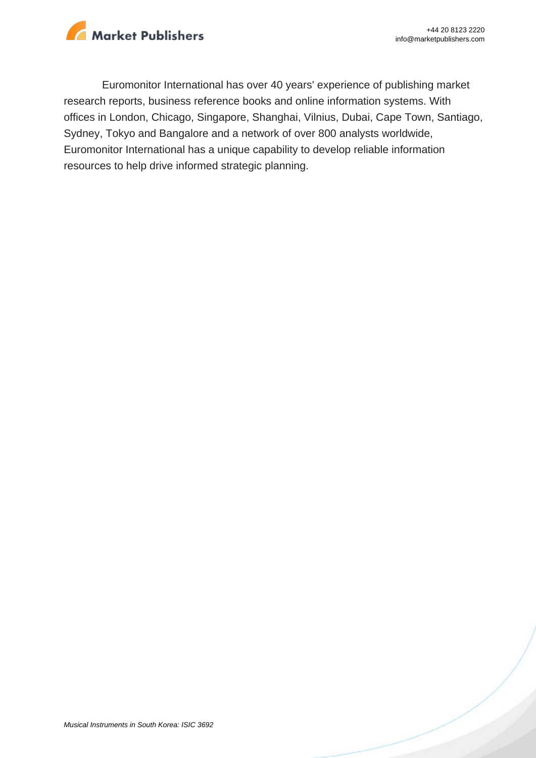

Euromonitor International has over 40 years' experience of publishing market research reports, business reference books and online information systems. With offices in London, Chicago, Singapore, Shanghai, Vilnius, Dubai, Cape Town, Santiago, Sydney, Tokyo and Bangalore and a network of over 800 analysts worldwide, Euromonitor International has a unique capability to develop reliable information resources to help drive informed strategic planning.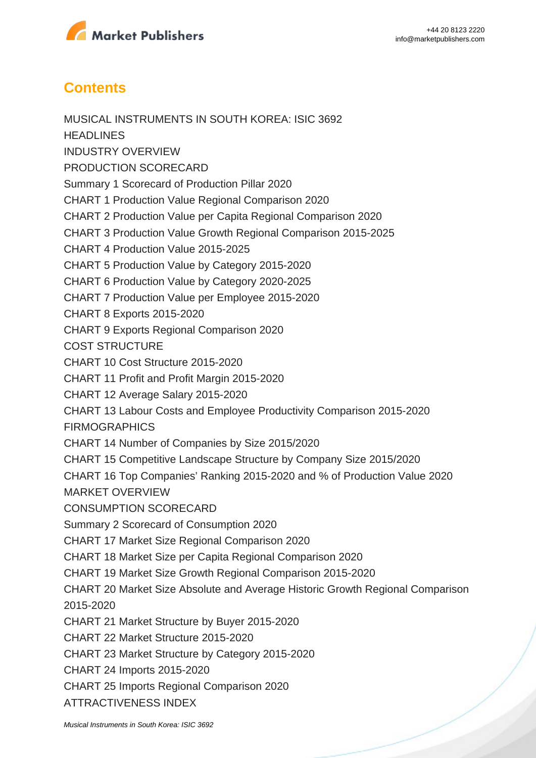

## **Contents**

MUSICAL INSTRUMENTS IN SOUTH KOREA: ISIC 3692 **HEADLINES** INDUSTRY OVERVIEW PRODUCTION SCORECARD Summary 1 Scorecard of Production Pillar 2020 CHART 1 Production Value Regional Comparison 2020 CHART 2 Production Value per Capita Regional Comparison 2020 CHART 3 Production Value Growth Regional Comparison 2015-2025 CHART 4 Production Value 2015-2025 CHART 5 Production Value by Category 2015-2020 CHART 6 Production Value by Category 2020-2025 CHART 7 Production Value per Employee 2015-2020 CHART 8 Exports 2015-2020 CHART 9 Exports Regional Comparison 2020 COST STRUCTURE CHART 10 Cost Structure 2015-2020 CHART 11 Profit and Profit Margin 2015-2020 CHART 12 Average Salary 2015-2020 CHART 13 Labour Costs and Employee Productivity Comparison 2015-2020 **FIRMOGRAPHICS** CHART 14 Number of Companies by Size 2015/2020 CHART 15 Competitive Landscape Structure by Company Size 2015/2020 CHART 16 Top Companies' Ranking 2015-2020 and % of Production Value 2020 MARKET OVERVIEW CONSUMPTION SCORECARD Summary 2 Scorecard of Consumption 2020 CHART 17 Market Size Regional Comparison 2020 CHART 18 Market Size per Capita Regional Comparison 2020 CHART 19 Market Size Growth Regional Comparison 2015-2020 CHART 20 Market Size Absolute and Average Historic Growth Regional Comparison 2015-2020 CHART 21 Market Structure by Buyer 2015-2020 CHART 22 Market Structure 2015-2020 CHART 23 Market Structure by Category 2015-2020 CHART 24 Imports 2015-2020 CHART 25 Imports Regional Comparison 2020

ATTRACTIVENESS INDEX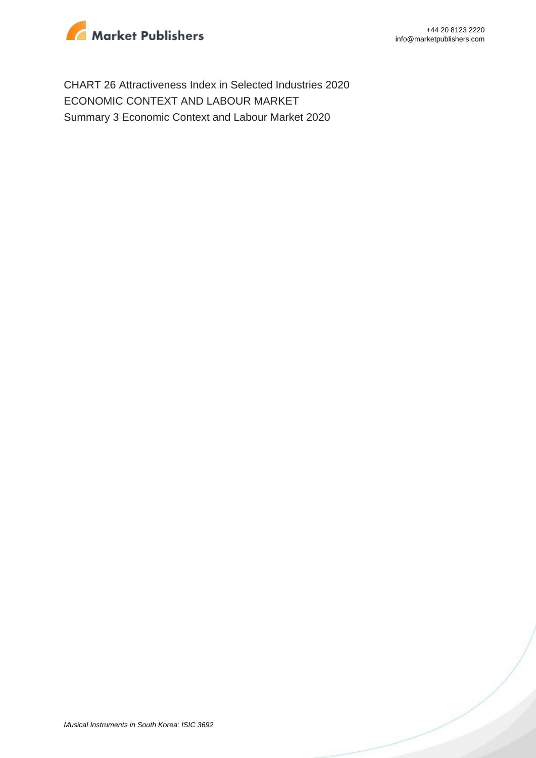

CHART 26 Attractiveness Index in Selected Industries 2020 ECONOMIC CONTEXT AND LABOUR MARKET Summary 3 Economic Context and Labour Market 2020